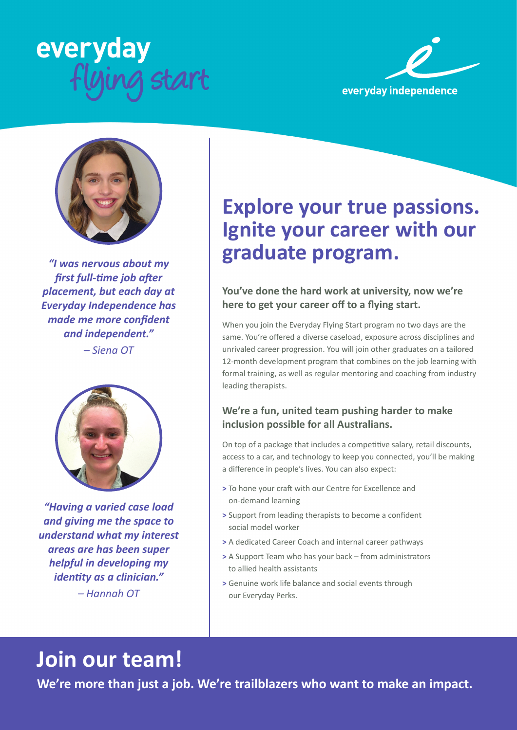





*"I was nervous about my first full-time job after placement, but each day at Everyday Independence has made me more confident and independent."* 

*– Siena OT*



*"Having a varied case load and giving me the space to understand what my interest areas are has been super helpful in developing my identity as a clinician." – Hannah OT*

### **Explore your true passions. Ignite your career with our graduate program.**

#### **You've done the hard work at university, now we're here to get your career off to a flying start.**

When you join the Everyday Flying Start program no two days are the same. You're offered a diverse caseload, exposure across disciplines and unrivaled career progression. You will join other graduates on a tailored 12-month development program that combines on the job learning with formal training, as well as regular mentoring and coaching from industry leading therapists.

#### **We're a fun, united team pushing harder to make inclusion possible for all Australians.**

On top of a package that includes a competitive salary, retail discounts, access to a car, and technology to keep you connected, you'll be making a difference in people's lives. You can also expect:

- **>** To hone your craft with our Centre for Excellence and on-demand learning
- **>** Support from leading therapists to become a confident social model worker
- **>** A dedicated Career Coach and internal career pathways
- **>** A Support Team who has your back from administrators to allied health assistants
- **>** Genuine work life balance and social events through our Everyday Perks.

## **Join our team!**

**We're more than just a job. We're trailblazers who want to make an impact.**